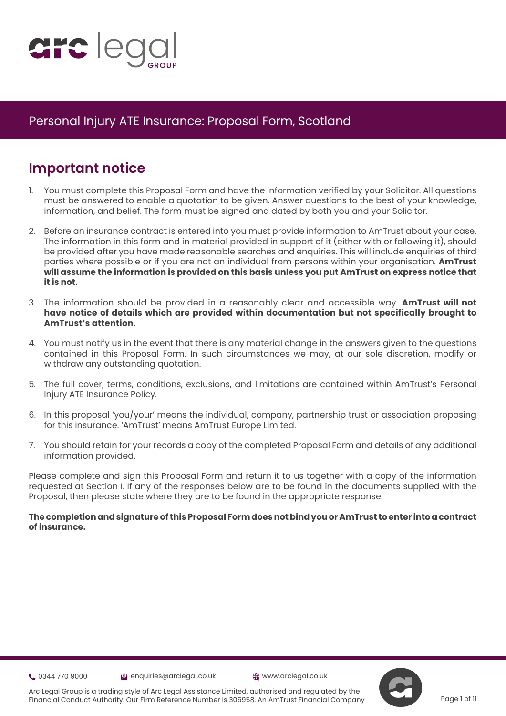

## **Important notice**

- 1. You must complete this Proposal Form and have the information verified by your Solicitor. All questions must be answered to enable a quotation to be given. Answer questions to the best of your knowledge, information, and belief. The form must be signed and dated by both you and your Solicitor.
- 2. Before an insurance contract is entered into you must provide information to AmTrust about your case. The information in this form and in material provided in support of it (either with or following it), should be provided after you have made reasonable searches and enquiries. This will include enquiries of third parties where possible or if you are not an individual from persons within your organisation. **AmTrust will assume the information is provided on this basis unless you put AmTrust on express notice that it is not.**
- 3. The information should be provided in a reasonably clear and accessible way. **AmTrust will not have notice of details which are provided within documentation but not specifically brought to AmTrust's attention.**
- 4. You must notify us in the event that there is any material change in the answers given to the questions contained in this Proposal Form. In such circumstances we may, at our sole discretion, modify or withdraw any outstanding quotation.
- 5. The full cover, terms, conditions, exclusions, and limitations are contained within AmTrust's Personal Injury ATE Insurance Policy.
- 6. In this proposal 'you/your' means the individual, company, partnership trust or association proposing for this insurance. 'AmTrust' means AmTrust Europe Limited.
- 7. You should retain for your records a copy of the completed Proposal Form and details of any additional information provided.

Please complete and sign this Proposal Form and return it to us together with a copy of the information requested at Section I. If any of the responses below are to be found in the documents supplied with the Proposal, then please state where they are to be found in the appropriate response.

#### **The completion and signature of this Proposal Form does not bind you or AmTrust to enter into a contract of insurance.**

0344 770 9000 enquiries@arclegal.co.uk www.arclegal.co.uk



Arc Legal Group is a trading style of Arc Legal Assistance Limited, authorised and regulated by the Financial Conduct Authority. Our Firm Reference Number is 305958. An AmTrust Financial Company

Page 1 of 11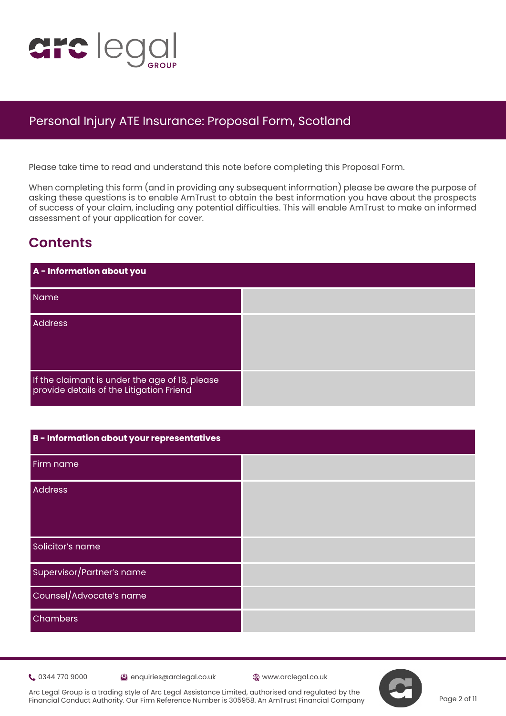

 Please take time to read and understand this note before completing this Proposal Form.

When completing this form (and in providing any subsequent information) please be aware the purpose of asking these questions is to enable AmTrust to obtain the best information you have about the prospects of s[uc](https://www.justice.gov.uk/courts/procedure-rules/civil/protocol)cess of your claim, including any potential difficulties. This will enable AmTrust to make an informed assessment of your application for cover.

# **Contents**

| A - Information about you                                                                  |  |
|--------------------------------------------------------------------------------------------|--|
| Name                                                                                       |  |
| <b>Address</b>                                                                             |  |
| If the claimant is under the age of 18, please<br>provide details of the Litigation Friend |  |

| B - Information about your representatives |  |
|--------------------------------------------|--|
| Firm name                                  |  |
| Address                                    |  |
| Solicitor's name                           |  |
| Supervisor/Partner's name                  |  |
| Counsel/Advocate's name                    |  |
| Chambers                                   |  |

0344 770 9000 enquiries@arclegal.co.uk www.arclegal.co.uk

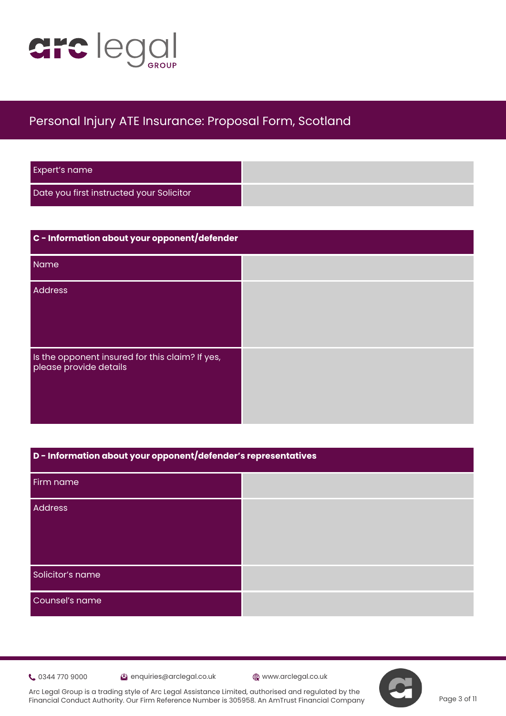

| <b>Expert's name</b>                     |  |
|------------------------------------------|--|
| Date you first instructed your Solicitor |  |

| C - Information about your opponent/defender                              |  |
|---------------------------------------------------------------------------|--|
| Name                                                                      |  |
| <b>Address</b>                                                            |  |
| Is the opponent insured for this claim? If yes,<br>please provide details |  |

| D - Information about your opponent/defender's representatives |  |
|----------------------------------------------------------------|--|
| Firm name                                                      |  |
| <b>Address</b>                                                 |  |
|                                                                |  |
| Solicitor's name                                               |  |
| Counsel's name                                                 |  |

**t** 0344 770 9000 **extending the set of the CO** enquiries@arclegal.co.uk **compared the CO** www.arclegal.co.uk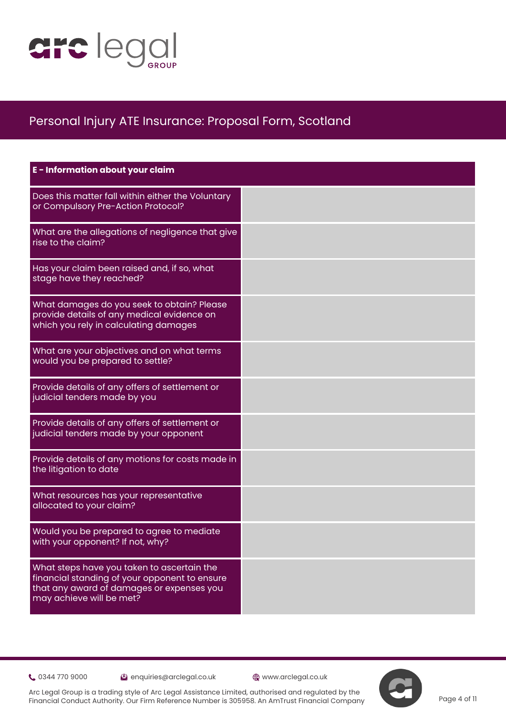

| E - Information about your claim                                                                                                                                     |  |
|----------------------------------------------------------------------------------------------------------------------------------------------------------------------|--|
| Does this matter fall within either the Voluntary<br>or Compulsory Pre-Action Protocol?                                                                              |  |
| What are the allegations of negligence that give<br>rise to the claim?                                                                                               |  |
| Has your claim been raised and, if so, what<br>stage have they reached?                                                                                              |  |
| What damages do you seek to obtain? Please<br>provide details of any medical evidence on<br>which you rely in calculating damages                                    |  |
| What are your objectives and on what terms<br>would you be prepared to settle?                                                                                       |  |
| Provide details of any offers of settlement or<br>judicial tenders made by you                                                                                       |  |
| Provide details of any offers of settlement or<br>judicial tenders made by your opponent                                                                             |  |
| Provide details of any motions for costs made in<br>the litigation to date                                                                                           |  |
| What resources has your representative<br>allocated to your claim?                                                                                                   |  |
| Would you be prepared to agree to mediate<br>with your opponent? If not, why?                                                                                        |  |
| What steps have you taken to ascertain the<br>financial standing of your opponent to ensure<br>that any award of damages or expenses you<br>may achieve will be met? |  |

0344 770 9000 enquiries@arclegal.co.uk www.arclegal.co.uk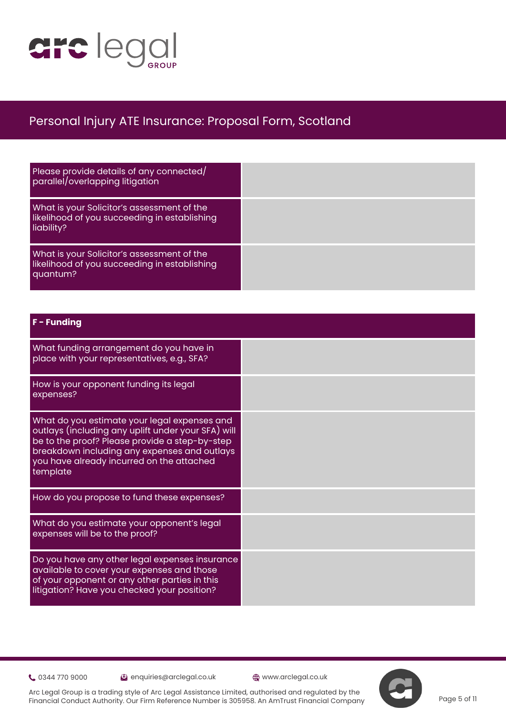

| Please provide details of any connected/<br>parallel/overlapping litigation                              |  |
|----------------------------------------------------------------------------------------------------------|--|
| What is your Solicitor's assessment of the<br>likelihood of you succeeding in establishing<br>liability? |  |
| What is your Solicitor's assessment of the<br>likelihood of you succeeding in establishing<br>quantum?   |  |

### **F - Funding**

| What funding arrangement do you have in<br>place with your representatives, e.g., SFA?                                                                                                                                                                        |  |
|---------------------------------------------------------------------------------------------------------------------------------------------------------------------------------------------------------------------------------------------------------------|--|
| How is your opponent funding its legal<br>expenses?                                                                                                                                                                                                           |  |
| What do you estimate your legal expenses and<br>outlays (including any uplift under your SFA) will<br>be to the proof? Please provide a step-by-step<br>breakdown including any expenses and outlays<br>you have already incurred on the attached<br>template |  |
| How do you propose to fund these expenses?                                                                                                                                                                                                                    |  |
| What do you estimate your opponent's legal<br>expenses will be to the proof?                                                                                                                                                                                  |  |
| Do you have any other legal expenses insurance<br>available to cover your expenses and those<br>of your opponent or any other parties in this<br>litigation? Have you checked your position?                                                                  |  |

0344 770 9000 enquiries@arclegal.co.uk www.arclegal.co.uk

Page 5 of 11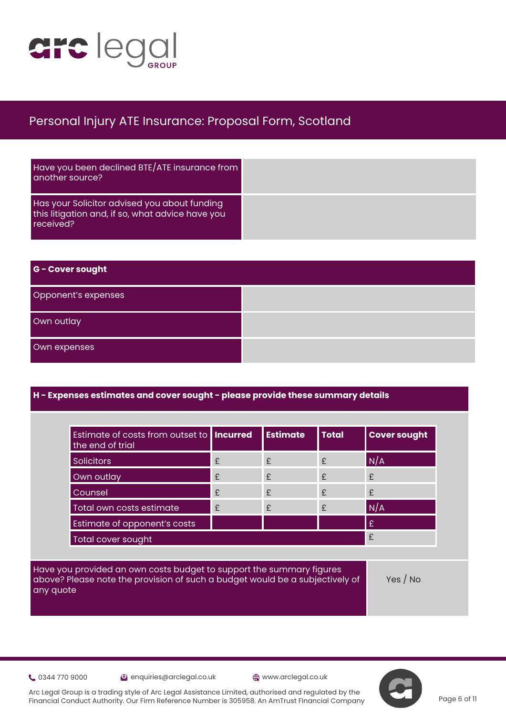

| Have you been declined BTE/ATE insurance from<br>another source?                                              |
|---------------------------------------------------------------------------------------------------------------|
| Has your Solicitor advised you about funding<br>this litigation and, if so, what advice have you<br>received? |

| G - Cover sought    |  |
|---------------------|--|
| Opponent's expenses |  |
| Own outlay          |  |
| Own expenses        |  |

### **H - Expenses estimates and cover sought - please provide these summary details**

| Estimate of costs from outset to <b>Incurred</b><br>the end of trial |              | <b>Estimate</b> | <b>Total</b> | <b>Cover sought</b> |
|----------------------------------------------------------------------|--------------|-----------------|--------------|---------------------|
| <b>Solicitors</b>                                                    | £            | £               | £            | N/A                 |
| Own outlay                                                           | £            | £               | £            | £                   |
| Counsel                                                              | £            | £               | £            | £                   |
| Total own costs estimate                                             | $\mathbf{f}$ | £               | £            | N/A                 |
| Estimate of opponent's costs                                         |              |                 |              | £                   |
| Total cover sought                                                   |              |                 |              | £                   |

Have you provided an own costs budget to support the summary figures above? Please note the provision of such a budget would be a subjectively of any quote

Yes / No

0344 770 9000 enquiries@arclegal.co.uk www.arclegal.co.uk



Arc Legal Group is a trading style of Arc Legal Assistance Limited, authorised and regulated by the Financial Conduct Authority. Our Firm Reference Number is 305958. An AmTrust Financial Company

Page 6 of 11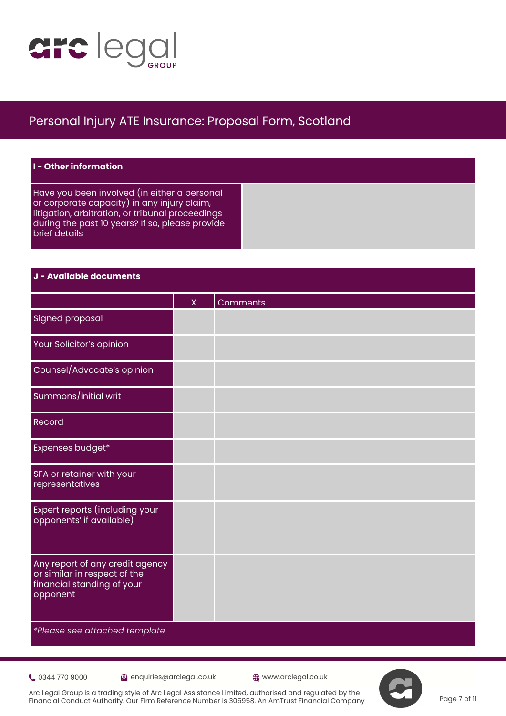

| $\blacksquare$ $\blacksquare$ - Other information                                                                                                                                                                   |
|---------------------------------------------------------------------------------------------------------------------------------------------------------------------------------------------------------------------|
| Have you been involved (in either a personal<br>or corporate capacity) in any injury claim,<br>litigation, arbitration, or tribunal proceedings<br>during the past 10 years? If so, please provide<br>brief details |

#### **J - Available documents**

|                                                                                                           | X | Comments |
|-----------------------------------------------------------------------------------------------------------|---|----------|
| <b>Signed proposal</b>                                                                                    |   |          |
| Your Solicitor's opinion                                                                                  |   |          |
| Counsel/Advocate's opinion                                                                                |   |          |
| Summons/initial writ                                                                                      |   |          |
| Record                                                                                                    |   |          |
| Expenses budget*                                                                                          |   |          |
| SFA or retainer with your<br>representatives                                                              |   |          |
| Expert reports (including your<br>opponents' if available)                                                |   |          |
| Any report of any credit agency<br>or similar in respect of the<br>financial standing of your<br>opponent |   |          |
| *Please see attached template                                                                             |   |          |

0344 770 9000 enquiries@arclegal.co.uk www.arclegal.co.uk



Arc Legal Group is a trading style of Arc Legal Assistance Limited, authorised and regulated by the Financial Conduct Authority. Our Firm Reference Number is 305958. An AmTrust Financial Company

Page 7 of 11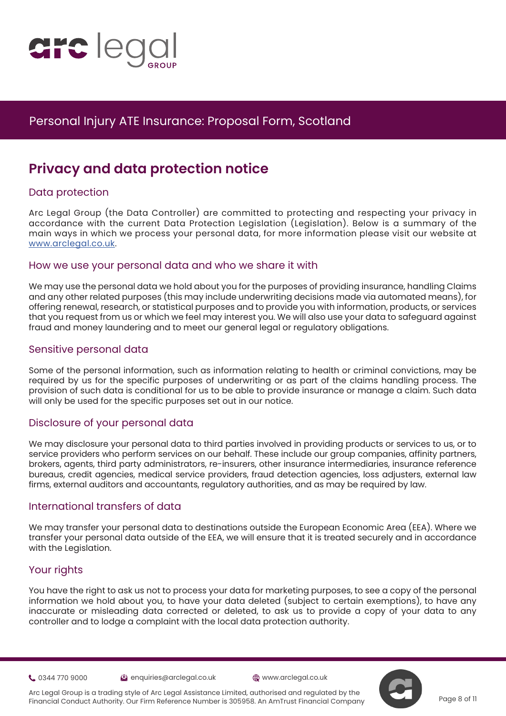

# **Privacy and data protection notice**

### Data protection

Arc [L](https://www.justice.gov.uk/courts/procedure-rules/civil/protocol)egal Group (the Data Controller) are committed to protecting and respecting your privacy in accordance with the current Data Protection Legislation (Legislation). Below is a summary of the main ways in which we process your personal data, for more information please visit our website at [www.arclegal.co.uk](https://www.arclegal.co.uk/).

#### How we use your personal data and who we share it with

We may use the personal data we hold about you for the purposes of providing insurance, handling Claims and any other related purposes (this may include underwriting decisions made via automated means), for offering renewal, research, or statistical purposes and to provide you with information, products, or services that you request from us or which we feel may interest you. We will also use your data to safeguard against fraud and money laundering and to meet our general legal or regulatory obligations.

### Sensitive personal data

Some of the personal information, such as information relating to health or criminal convictions, may be required by us for the specific purposes of underwriting or as part of the claims handling process. The provision of such data is conditional for us to be able to provide insurance or manage a claim. Such data will only be used for the specific purposes set out in our notice.

### Disclosure of your personal data

We may disclosure your personal data to third parties involved in providing products or services to us, or to service providers who perform services on our behalf. These include our group companies, affinity partners, brokers, agents, third party administrators, re-insurers, other insurance intermediaries, insurance reference bureaus, credit agencies, medical service providers, fraud detection agencies, loss adjusters, external law firms, external auditors and accountants, regulatory authorities, and as may be required by law.

### International transfers of data

We may transfer your personal data to destinations outside the European Economic Area (EEA). Where we transfer your personal data outside of the EEA, we will ensure that it is treated securely and in accordance with the Legislation.

### Your rights

You have the right to ask us not to process your data for marketing purposes, to see a copy of the personal information we hold about you, to have your data deleted (subject to certain exemptions), to have any inaccurate or misleading data corrected or deleted, to ask us to provide a copy of your data to any controller and to lodge a complaint with the local data protection authority.

0344 770 9000 enquiries@arclegal.co.uk www.arclegal.co.uk



Page 8 of 11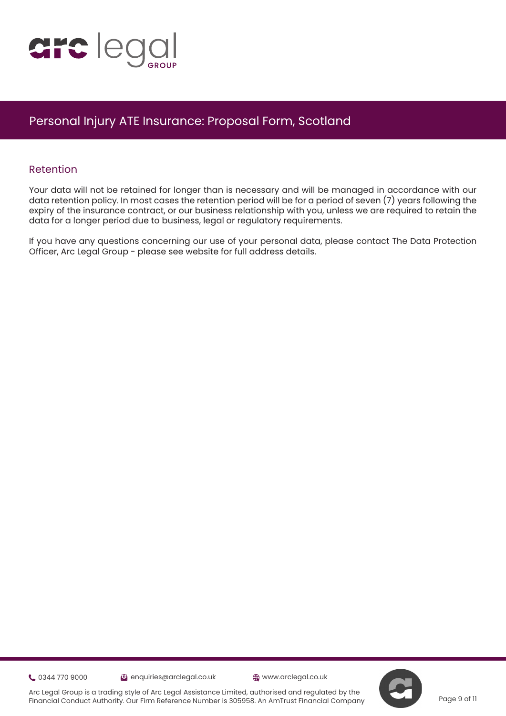

#### Retention

Your data will not be retained for longer than is necessary and will be managed in accordance with our data retention policy. In most cases the retention period will be for a period of seven (7) years following the expi[r](https://www.justice.gov.uk/courts/procedure-rules/civil/protocol)y of the insurance contract, or our business relationship with you, unless we are required to retain the data for a longer period due to business, legal or regulatory requirements.

If you have any questions concerning our use of your personal data, please contact The Data Protection Officer, Arc Legal Group - please see website for full address details.

0344 770 9000 enquiries@arclegal.co.uk www.arclegal.co.uk

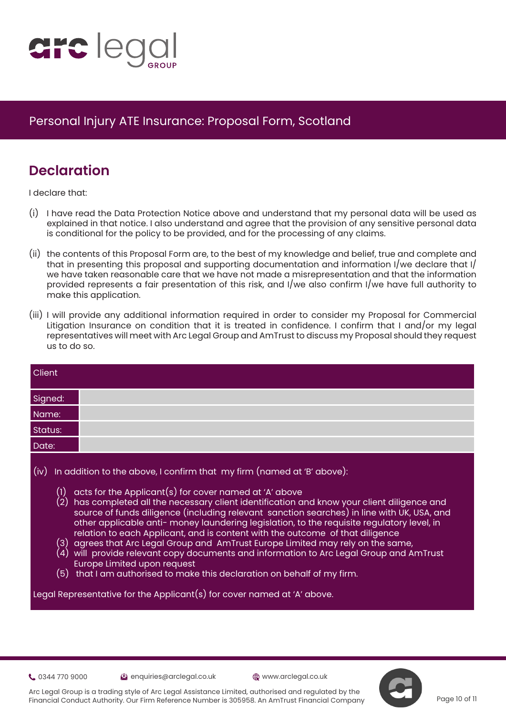

## **Declaration**

I declare that:

- (i) I have read the Data Protection Notice above and understand that my personal data will be used as explained in that notice. I also understand and agree that the provision of any sensitive personal data is conditional for the policy to be provided, and for the processing of any claims.
- (ii) the contents of this Proposal Form are, to the best of my knowledge and belief, true and complete and that in presenting this proposal and supporting documentation and information I/we declare that I/ we have taken reasonable care that we have not made a misrepresentation and that the information provided represents a fair presentation of this risk, and I/we also confirm I/we have full authority to make this application.
- (iii) I will provide any additional information required in order to consider my Proposal for Commercial Litigation Insurance on condition that it is treated in confidence. I confirm that I and/or my legal representatives will meet with Arc Legal Group and AmTrust to discuss my Proposal should they request us to do so.

| Client             |                                                                                                                                                                                                                                                                                                                                                                                                                                                                                                                                                                                                                                                                                                                                                                                                                                                                                          |
|--------------------|------------------------------------------------------------------------------------------------------------------------------------------------------------------------------------------------------------------------------------------------------------------------------------------------------------------------------------------------------------------------------------------------------------------------------------------------------------------------------------------------------------------------------------------------------------------------------------------------------------------------------------------------------------------------------------------------------------------------------------------------------------------------------------------------------------------------------------------------------------------------------------------|
| Signed:            |                                                                                                                                                                                                                                                                                                                                                                                                                                                                                                                                                                                                                                                                                                                                                                                                                                                                                          |
| Name:              |                                                                                                                                                                                                                                                                                                                                                                                                                                                                                                                                                                                                                                                                                                                                                                                                                                                                                          |
| Status:            |                                                                                                                                                                                                                                                                                                                                                                                                                                                                                                                                                                                                                                                                                                                                                                                                                                                                                          |
| Date:              |                                                                                                                                                                                                                                                                                                                                                                                                                                                                                                                                                                                                                                                                                                                                                                                                                                                                                          |
| (iv)<br>(1)<br>(2) | In addition to the above, I confirm that my firm (named at 'B' above):<br>acts for the Applicant(s) for cover named at 'A' above<br>has completed all the necessary client identification and know your client diligence and<br>source of funds diligence (including relevant sanction searches) in line with UK, USA, and<br>other applicable anti-money laundering legislation, to the requisite regulatory level, in<br>relation to each Applicant, and is content with the outcome of that diligence<br>(3) agrees that Arc Legal Group and  AmTrust Europe Limited may rely on the same,<br>$(4)$ will provide relevant copy documents and information to Arc Legal Group and AmTrust<br><b>Europe Limited upon request</b><br>$(5)$ that I am authorised to make this declaration on behalf of my firm.<br>Legal Representative for the Applicant(s) for cover named at 'A' above. |

0344 770 9000 enquiries@arclegal.co.uk www.arclegal.co.uk



Arc Legal Group is a trading style of Arc Legal Assistance Limited, authorised and regulated by the Financial Conduct Authority. Our Firm Reference Number is 305958. An AmTrust Financial Company

Page 10 of 11